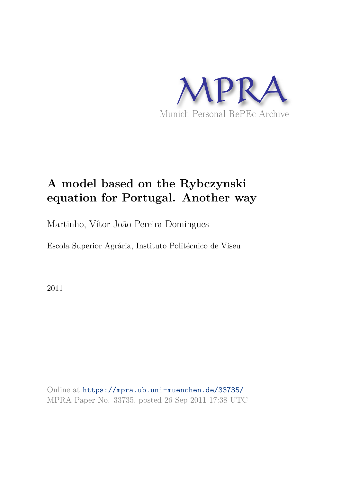

# **A model based on the Rybczynski equation for Portugal. Another way**

Martinho, Vítor João Pereira Domingues

Escola Superior Agrária, Instituto Politécnico de Viseu

2011

Online at https://mpra.ub.uni-muenchen.de/33735/ MPRA Paper No. 33735, posted 26 Sep 2011 17:38 UTC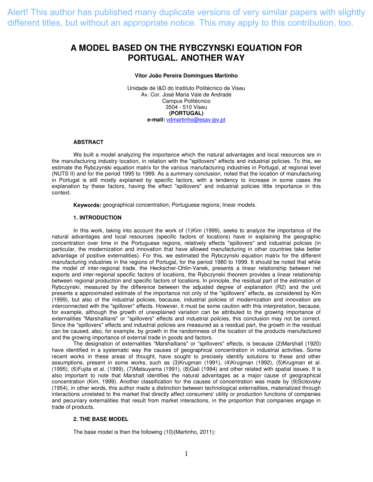Alert! This author has published many duplicate versions of very similar papers with slightly different titles, but without an appropriate notice. This may apply to this contribution, too.

# **A MODEL BASED ON THE RYBCZYNSKI EQUATION FOR PORTUGAL. ANOTHER WAY**

#### **Vitor João Pereira Domingues Martinho**

Unidade de I&D do Instituto Politécnico de Viseu Av. Cor. José Maria Vale de Andrade Campus Politécnico 3504 - 510 Viseu **(PORTUGAL) e-mail:** [vdmartinho@esav.ipv.pt](mailto:vdmartinho@esav.ipv.pt)

## **ABSTRACT**

We built a model analyzing the importance which the natural advantages and local resources are in the manufacturing industry location, in relation with the "spillovers" effects and industrial policies. To this, we estimate the Rybczynski equation matrix for the various manufacturing industries in Portugal, at regional level (NUTS II) and for the period 1995 to 1999. As a summary conclusion, noted that the location of manufacturing in Portugal is still mostly explained by specific factors, with a tendency to increase in some cases the explanation by these factors, having the effect "spillovers" and industrial policies little importance in this context.

**Keywords:** geographical concentration; Portuguese regions; linear models.

# **1. INTRODUCTION**

In this work, taking into account the work of (1)Kim (1999), seeks to analyze the importance of the natural advantages and local resources (specific factors of locations) have in explaining the geographic concentration over time in the Portuguese regions, relatively effects "spillovers" and industrial policies (in particular, the modernization and innovation that have allowed manufacturing in other countries take better advantage of positive externalities). For this, we estimated the Rybczynski equation matrix for the different manufacturing industries in the regions of Portugal, for the period 1980 to 1999. It should be noted that while the model of inter-regional trade, the Heckscher-Ohlin-Vanek, presents a linear relationship between net exports and inter-regional specific factors of locations, the Rybczynski theorem provides a linear relationship between regional production and specific factors of locations. In principle, the residual part of the estimation of Rybczynski, measured by the difference between the adjusted degree of explanation (R2) and the unit presents a approximated estimate of the importance not only of the "spillovers" effects, as considered by Kim (1999), but also of the industrial policies, because, industrial policies of modernization and innovation are interconnected with the "spillover" effects. However, it must be some caution with this interpretation, because, for example, although the growth of unexplained variation can be attributed to the growing importance of externalities "Marshallians" or "spillovers" effects and industrial policies, this conclusion may not be correct. Since the "spillovers" effects and industrial policies are measured as a residual part, the growth in the residual can be caused, also, for example, by growth in the randomness of the location of the products manufactured and the growing importance of external trade in goods and factors.

The designation of externalities "Marshallians" or "spillovers" effects, is because (2)Marshall (1920) have identified in a systematic way the causes of geographical concentration in industrial activities. Some recent works in these areas of thought, have sought to precisely identify solutions to these and other assumptions, present in some works, such as (3)Krugman (1991), (4)Krugman (1992), (5)Krugman et al. (1995), (6)Fujita et al. (1999), (7)Matsuyama (1991), (8)Gali (1994) and other related with spatial issues. It is also important to note that Marshall identifies the natural advantages as a major cause of geographical concentration (Kim, 1999). Another classification for the causes of concentration was made by (9)Scitovsky (1954), in other words, this author made a distinction between technological externalities, materialized through interactions unrelated to the market that directly affect consumers' utility or production functions of companies and pecuniary externalities that result from market interactions, in the proportion that companies engage in trade of products.

# **2. THE BASE MODEL**

The base model is then the following (10)(Martinho, 2011):